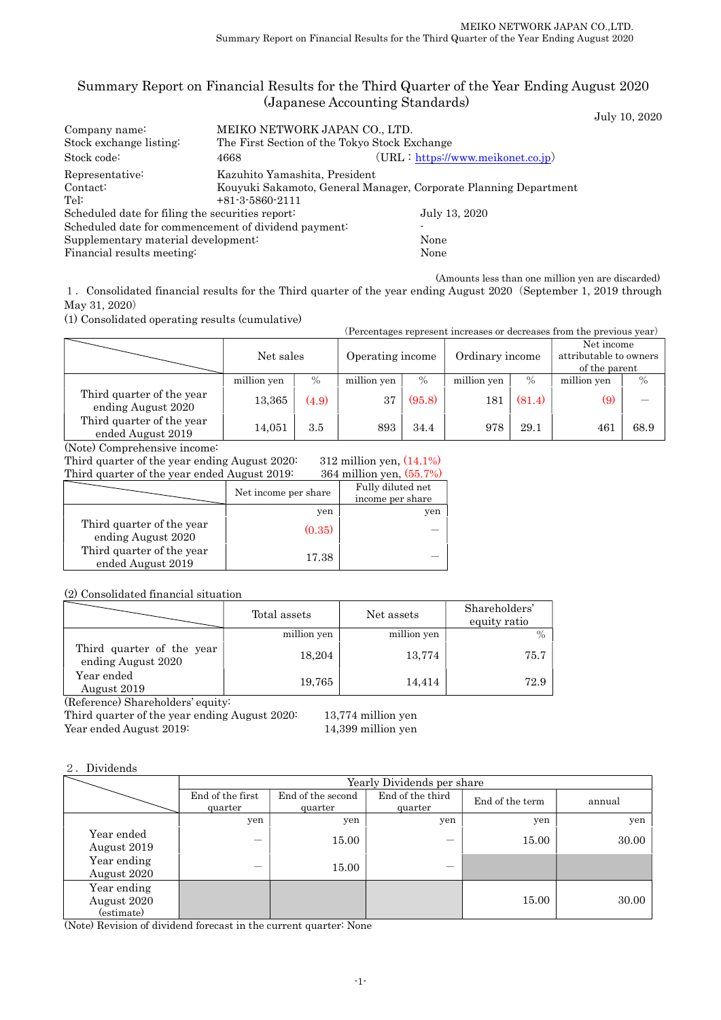### Summary Report on Financial Results for the Third Quarter of the Year Ending August 2020 (Japanese Accounting Standards)

|                                                  |                                                      |                                                                  | July 10, 2020 |
|--------------------------------------------------|------------------------------------------------------|------------------------------------------------------------------|---------------|
| Company name:                                    | MEIKO NETWORK JAPAN CO., LTD.                        |                                                                  |               |
| Stock exchange listing:                          | The First Section of the Tokyo Stock Exchange        |                                                                  |               |
| Stock code:                                      | 4668                                                 | $(URL: https://www.meikonet.co.jp})$                             |               |
| Representative:                                  | Kazuhito Yamashita, President                        |                                                                  |               |
| Contact:                                         |                                                      | Kouyuki Sakamoto, General Manager, Corporate Planning Department |               |
| Tel:                                             | $+81-3-5860-2111$                                    |                                                                  |               |
| Scheduled date for filing the securities report: |                                                      | July 13, 2020                                                    |               |
|                                                  | Scheduled date for commencement of dividend payment: | $\overline{\phantom{a}}$                                         |               |
| Supplementary material development:              |                                                      | None                                                             |               |
| Financial results meeting:                       |                                                      | None                                                             |               |
|                                                  |                                                      |                                                                  |               |

(Amounts less than one million yen are discarded)

(Percentages represent increases or decreases from the previous year)

1.Consolidated financial results for the Third quarter of the year ending August 2020(September 1, 2019 through May 31, 2020)

(1) Consolidated operating results (cumulative)

| д степладо тергезент питеазез от целтеазез понгтие ргеуючз усагд |             |       |                  |        |                 |        |             |                                                       |  |
|------------------------------------------------------------------|-------------|-------|------------------|--------|-----------------|--------|-------------|-------------------------------------------------------|--|
|                                                                  | Net sales   |       | Operating income |        | Ordinary income |        |             | Net income<br>attributable to owners<br>of the parent |  |
|                                                                  | million yen | $\%$  | million yen      | $\%$   | million yen     | $\%$   | million yen | $\%$                                                  |  |
| Third quarter of the year<br>ending August 2020                  | 13,365      | (4.9) | 37               | (95.8) | 181             | (81.4) | (9)         |                                                       |  |
| Third quarter of the year<br>ended August 2019                   | 14.051      | 3.5   | 893              | 34.4   | 978             | 29.1   | 461         | 68.9                                                  |  |

(Note) Comprehensive income:

312 million yen, (14.1%) Third quarter of the year ending August 2020:

Third quarter of the year ended August 2019: 364 million yen, (55.7%)

|                                                 | Net income per share | Fully diluted net<br>income per share |
|-------------------------------------------------|----------------------|---------------------------------------|
|                                                 | yen                  | yen                                   |
| Third quarter of the year<br>ending August 2020 | (0.35)               |                                       |
| Third quarter of the year<br>ended August 2019  | 17.38                |                                       |

(2) Consolidated financial situation

|                                                 | Total assets | Net assets  | Shareholders'<br>equity ratio |
|-------------------------------------------------|--------------|-------------|-------------------------------|
|                                                 | million yen  | million yen |                               |
| Third quarter of the year<br>ending August 2020 | 18,204       | 13,774      | 75.7                          |
| Year ended<br>August 2019                       | 19,765       | 14,414      | 72.9                          |

(Reference) Shareholders' equity:

Third quarter of the year ending August 2020: 13,774 million yen

Year ended August 2019: 14,399 million yen

#### 2.Dividends

|                                          | Yearly Dividends per share  |                              |                             |                 |        |  |
|------------------------------------------|-----------------------------|------------------------------|-----------------------------|-----------------|--------|--|
|                                          | End of the first<br>quarter | End of the second<br>quarter | End of the third<br>quarter | End of the term | annual |  |
|                                          | yen                         | yen                          | yen                         | yen             | yen    |  |
| Year ended<br>August 2019                | $\overline{\phantom{0}}$    | 15.00                        |                             | 15.00           | 30.00  |  |
| Year ending<br>August 2020               | –                           | 15.00                        |                             |                 |        |  |
| Year ending<br>August 2020<br>(estimate) |                             |                              |                             | 15.00           | 30.00  |  |

(Note) Revision of dividend forecast in the current quarter: None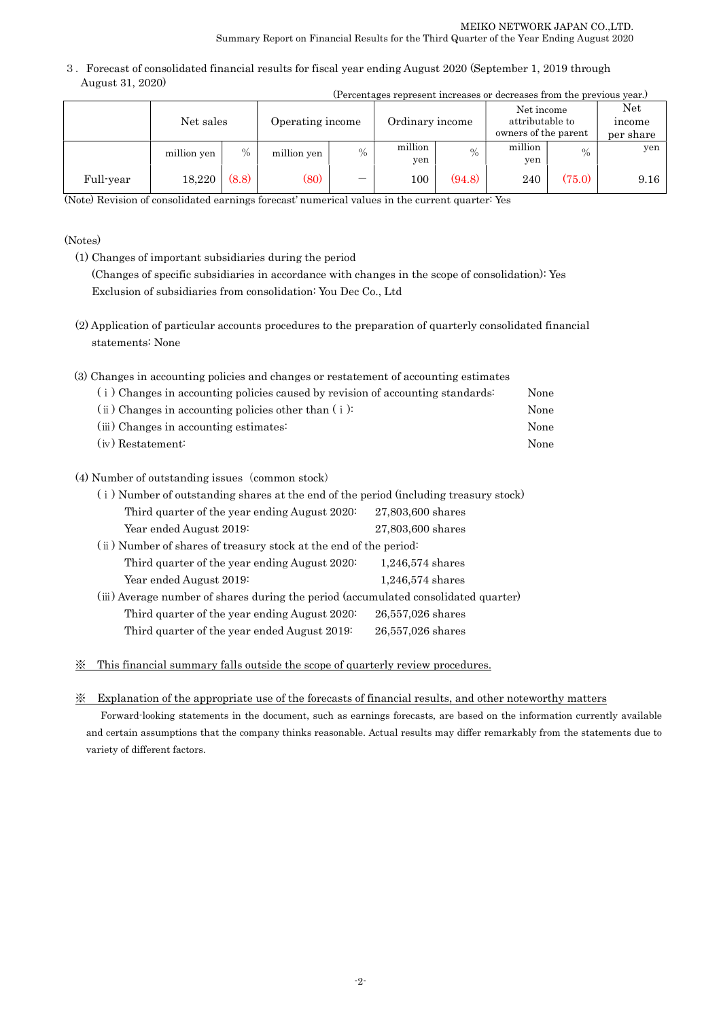3.Forecast of consolidated financial results for fiscal year ending August 2020 (September 1, 2019 through August 31, 2020) (Percentages represent increases or decreases from the previous year.)

|           | Net sales   |       | Operating income |               | <u>u creditages represent increases or uccreases from the previous year.</u><br>Ordinary income |        | Net income<br>attributable to<br>owners of the parent |               | Net<br>income<br>per share |
|-----------|-------------|-------|------------------|---------------|-------------------------------------------------------------------------------------------------|--------|-------------------------------------------------------|---------------|----------------------------|
|           | million yen | $\%$  | million yen      | $\frac{0}{0}$ | million<br>yen                                                                                  | $\%$   | million<br>yen                                        | $\frac{0}{0}$ | yen                        |
| Full-year | 18,220      | (8.8) | (80)             |               | $100\,$                                                                                         | (94.8) | 240                                                   | (75.0)        | 9.16                       |

(Note) Revision of consolidated earnings forecast' numerical values in the current quarter: Yes

### (Notes)

- (1) Changes of important subsidiaries during the period (Changes of specific subsidiaries in accordance with changes in the scope of consolidation): Yes Exclusion of subsidiaries from consolidation: You Dec Co., Ltd
- (2) Application of particular accounts procedures to the preparation of quarterly consolidated financial statements: None

| (3) Changes in accounting policies and changes or restatement of accounting estimates |      |
|---------------------------------------------------------------------------------------|------|
| (i) Changes in accounting policies caused by revision of accounting standards:        | None |
| $(i)$ Changes in accounting policies other than $(i)$ :                               | None |
| (iii) Changes in accounting estimates:                                                | None |
| $(iv)$ Restatement:                                                                   | None |
|                                                                                       |      |

### (4) Number of outstanding issues (common stock)

| (i) Number of outstanding shares at the end of the period (including treasury stock) |                    |  |  |  |
|--------------------------------------------------------------------------------------|--------------------|--|--|--|
| Third quarter of the year ending August 2020:                                        | 27,803,600 shares  |  |  |  |
| Year ended August 2019:                                                              | 27,803,600 shares  |  |  |  |
| (ii) Number of shares of treasury stock at the end of the period:                    |                    |  |  |  |
| Third quarter of the year ending August 2020:                                        | $1,246,574$ shares |  |  |  |
| Year ended August 2019:                                                              | $1,246,574$ shares |  |  |  |
| (iii) Average number of shares during the period (accumulated consolidated quarter)  |                    |  |  |  |
| Third quarter of the year ending August 2020:                                        | 26,557,026 shares  |  |  |  |
| Third quarter of the year ended August 2019:                                         | 26,557,026 shares  |  |  |  |

※ This financial summary falls outside the scope of quarterly review procedures.

### ※ Explanation of the appropriate use of the forecasts of financial results, and other noteworthy matters

Forward-looking statements in the document, such as earnings forecasts, are based on the information currently available and certain assumptions that the company thinks reasonable. Actual results may differ remarkably from the statements due to variety of different factors.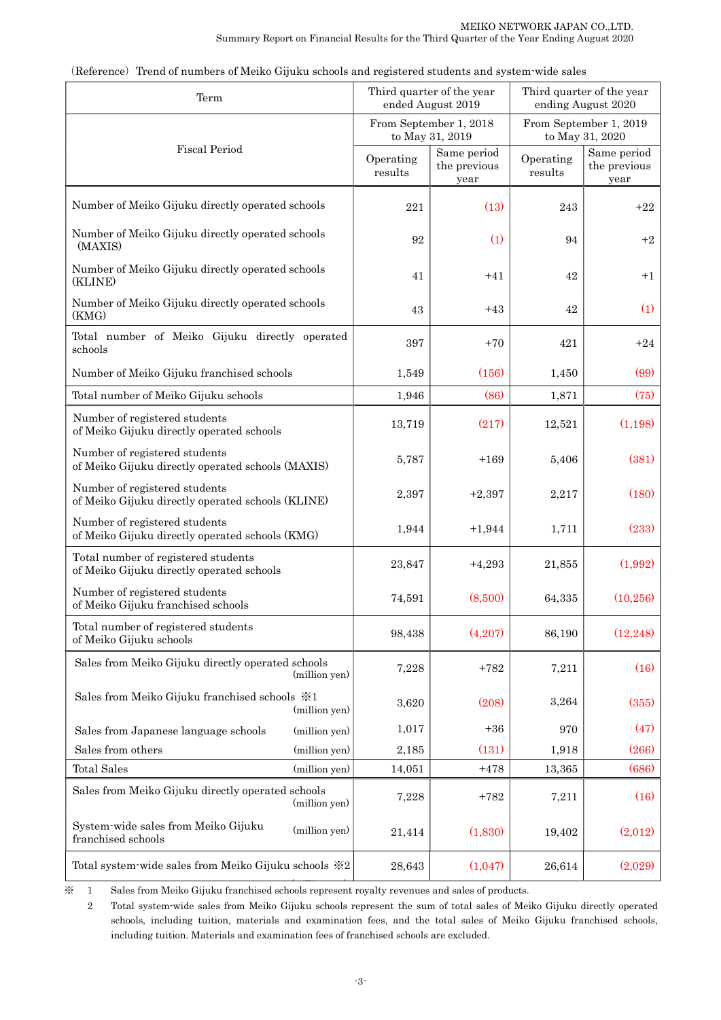| Term                                                                               |                      | Third quarter of the year<br>ended August 2019 | Third quarter of the year<br>ending August 2020 |                                     |  |
|------------------------------------------------------------------------------------|----------------------|------------------------------------------------|-------------------------------------------------|-------------------------------------|--|
|                                                                                    |                      | From September 1, 2018<br>to May 31, 2019      | From September 1, 2019<br>to May 31, 2020       |                                     |  |
| <b>Fiscal Period</b>                                                               | Operating<br>results | Same period<br>the previous<br>year            | Operating<br>results                            | Same period<br>the previous<br>year |  |
| Number of Meiko Gijuku directly operated schools                                   | 221                  | (13)                                           | 243                                             | $+22$                               |  |
| Number of Meiko Gijuku directly operated schools<br>(MAXIS)                        | 92                   | (1)                                            | 94                                              | $+2$                                |  |
| Number of Meiko Gijuku directly operated schools<br>(KLINE)                        | 41                   | $+41$                                          | 42                                              | $+1$                                |  |
| Number of Meiko Gijuku directly operated schools<br>(KMG)                          | 43                   | $+43$                                          | 42                                              | (1)                                 |  |
| Total number of Meiko Gijuku directly operated<br>schools                          | 397                  | $+70$                                          | 421                                             | $+24$                               |  |
| Number of Meiko Gijuku franchised schools                                          | 1,549                | (156)                                          | 1,450                                           | (99)                                |  |
| Total number of Meiko Gijuku schools                                               | 1,946                | (86)                                           | 1,871                                           | (75)                                |  |
| Number of registered students<br>of Meiko Gijuku directly operated schools         | 13,719               | (217)                                          | 12,521                                          | (1,198)                             |  |
| Number of registered students<br>of Meiko Gijuku directly operated schools (MAXIS) | 5,787                | $+169$                                         | 5,406                                           | (381)                               |  |
| Number of registered students<br>of Meiko Gijuku directly operated schools (KLINE) | 2,397                | $+2,397$                                       | 2,217                                           | (180)                               |  |
| Number of registered students<br>of Meiko Gijuku directly operated schools (KMG)   | 1,944                | $+1,944$                                       | 1,711                                           | (233)                               |  |
| Total number of registered students<br>of Meiko Gijuku directly operated schools   | 23,847               | $+4,293$                                       | 21,855                                          | (1,992)                             |  |
| Number of registered students<br>of Meiko Gijuku franchised schools                | 74,591               | (8,500)                                        | 64,335                                          | (10, 256)                           |  |
| Total number of registered students<br>of Meiko Gijuku schools                     | 98,438               | (4,207)                                        | 86,190                                          | (12, 248)                           |  |
| Sales from Meiko Gijuku directly operated schools<br>(million yen)                 | 7,228                | $+782$                                         | 7,211                                           | (16)                                |  |
| Sales from Meiko Gijuku franchised schools $\frac{1}{2}$ 1<br>(million yen)        | 3,620                | (208)                                          | 3,264                                           | (355)                               |  |
| Sales from Japanese language schools<br>(million yen)                              | 1,017                | $+36$                                          | 970                                             | (47)                                |  |
| Sales from others<br>(million yen)                                                 | 2,185                | (131)                                          | 1,918                                           | (266)                               |  |
| <b>Total Sales</b><br>(million yen)                                                | 14,051               | $+478$                                         | 13,365                                          | (686)                               |  |
| Sales from Meiko Gijuku directly operated schools<br>(million yen)                 | 7,228                | $+782$                                         | 7,211                                           | (16)                                |  |
| System-wide sales from Meiko Gijuku<br>(million yen)<br>franchised schools         | 21,414               | (1,830)                                        | 19,402                                          | (2,012)                             |  |
| Total system-wide sales from Meiko Gijuku schools ※2                               | 28,643               | (1,047)                                        | 26,614                                          | (2,029)                             |  |

(Reference) Trend of numbers of Meiko Gijuku schools and registered students and system-wide sales

\* 1 Sales from Meiko Gijuku franchised schools represent royalty revenues and sales of products.

2 Total system-wide sales from Meiko Gijuku schools represent the sum of total sales of Meiko Gijuku directly operated schools, including tuition, materials and examination fees, and the total sales of Meiko Gijuku franchised schools, including tuition. Materials and examination fees of franchised schools are excluded.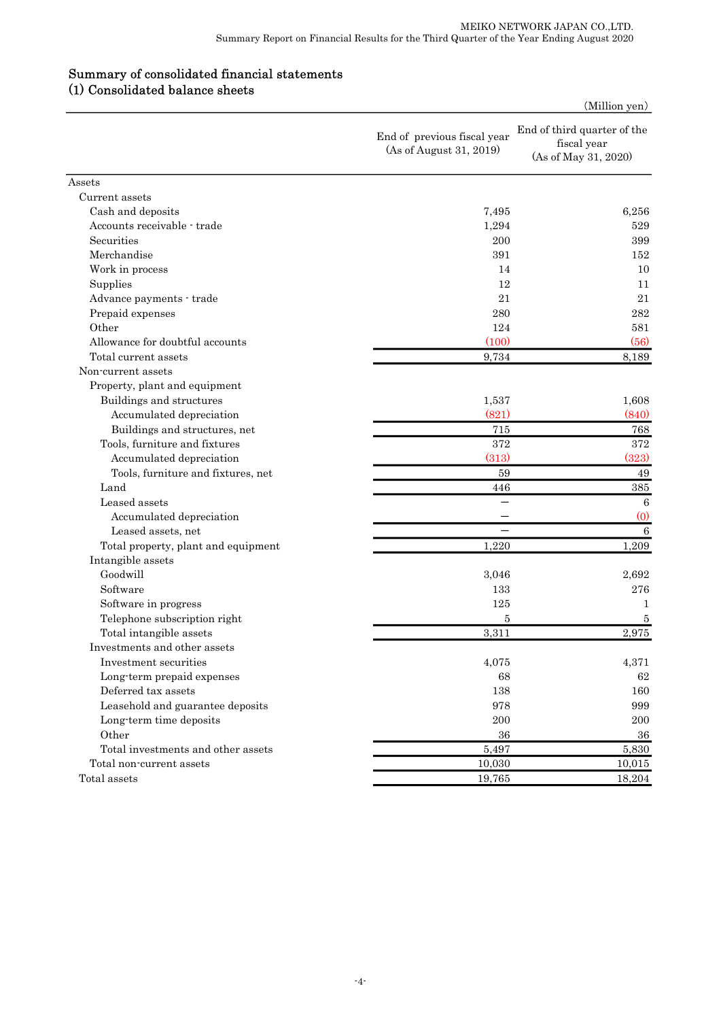## Summary of consolidated financial statements (1) Consolidated balance sheets

|                                     |                                                        | (Million yen)                                                      |
|-------------------------------------|--------------------------------------------------------|--------------------------------------------------------------------|
|                                     | End of previous fiscal year<br>(As of August 31, 2019) | End of third quarter of the<br>fiscal year<br>(As of May 31, 2020) |
| Assets                              |                                                        |                                                                    |
| Current assets                      |                                                        |                                                                    |
| Cash and deposits                   | 7,495                                                  | 6,256                                                              |
| Accounts receivable - trade         | 1,294                                                  | 529                                                                |
| Securities                          | 200                                                    | 399                                                                |
| Merchandise                         | 391                                                    | 152                                                                |
| Work in process                     | 14                                                     | 10                                                                 |
| Supplies                            | 12                                                     | 11                                                                 |
| Advance payments - trade            | 21                                                     | 21                                                                 |
| Prepaid expenses                    | 280                                                    | 282                                                                |
| Other                               | 124                                                    | 581                                                                |
| Allowance for doubtful accounts     | (100)                                                  | (56)                                                               |
| Total current assets                | 9,734                                                  | 8,189                                                              |
| Non-current assets                  |                                                        |                                                                    |
| Property, plant and equipment       |                                                        |                                                                    |
| Buildings and structures            | 1,537                                                  | 1,608                                                              |
| Accumulated depreciation            | (821)                                                  | (840)                                                              |
| Buildings and structures, net       | 715                                                    | 768                                                                |
| Tools, furniture and fixtures       | 372                                                    | 372                                                                |
| Accumulated depreciation            | (313)                                                  | (323)                                                              |
| Tools, furniture and fixtures, net  | 59                                                     | 49                                                                 |
| Land                                | 446                                                    | 385                                                                |
| Leased assets                       |                                                        | 6                                                                  |
| Accumulated depreciation            |                                                        | (0)                                                                |
| Leased assets, net                  |                                                        | 6                                                                  |
| Total property, plant and equipment | 1,220                                                  | 1,209                                                              |
| Intangible assets                   |                                                        |                                                                    |
| Goodwill                            | 3,046                                                  | 2,692                                                              |
| Software                            | 133                                                    | 276                                                                |
| Software in progress                | 125                                                    |                                                                    |
| Telephone subscription right        | 5                                                      |                                                                    |
| Total intangible assets             | 3,311                                                  | 2,975                                                              |
| Investments and other assets        |                                                        |                                                                    |
| Investment securities               | 4,075                                                  | 4,371                                                              |
| Long-term prepaid expenses          | 68                                                     | 62                                                                 |
| Deferred tax assets                 | 138                                                    | 160                                                                |
| Leasehold and guarantee deposits    | 978                                                    | 999                                                                |
| Long term time deposits             | 200                                                    | 200                                                                |
| Other                               | 36                                                     | 36                                                                 |
| Total investments and other assets  | 5,497                                                  | 5,830                                                              |
| Total non-current assets            | 10,030                                                 | 10,015                                                             |
| Total assets                        | 19,765                                                 | 18,204                                                             |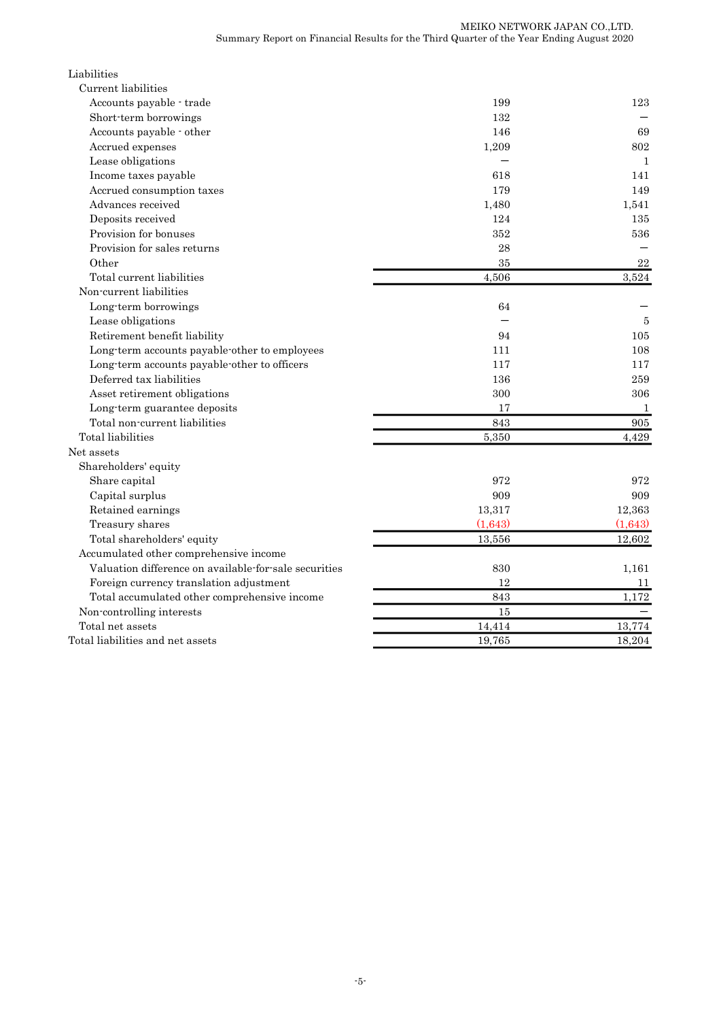| Liabilities                                           |         |              |
|-------------------------------------------------------|---------|--------------|
| Current liabilities                                   |         |              |
| Accounts payable trade                                | 199     | 123          |
| Short-term borrowings                                 | 132     |              |
| Accounts payable - other                              | 146     | 69           |
| Accrued expenses                                      | 1,209   | 802          |
| Lease obligations                                     |         | $\mathbf{1}$ |
| Income taxes payable                                  | 618     | 141          |
| Accrued consumption taxes                             | 179     | 149          |
| Advances received                                     | 1,480   | 1,541        |
| Deposits received                                     | 124     | 135          |
| Provision for bonuses                                 | 352     | 536          |
| Provision for sales returns                           | 28      |              |
| Other                                                 | 35      | 22           |
| Total current liabilities                             | 4,506   | 3,524        |
| Non-current liabilities                               |         |              |
| Long-term borrowings                                  | 64      |              |
| Lease obligations                                     |         | 5            |
| Retirement benefit liability                          | 94      | 105          |
| Long-term accounts payable-other to employees         | 111     | 108          |
| Long-term accounts payable-other to officers          | 117     | 117          |
| Deferred tax liabilities                              | 136     | 259          |
| Asset retirement obligations                          | 300     | 306          |
| Long-term guarantee deposits                          | 17      | 1            |
| Total non-current liabilities                         | 843     | 905          |
| Total liabilities                                     | 5,350   | 4,429        |
| Net assets                                            |         |              |
| Shareholders' equity                                  |         |              |
| Share capital                                         | 972     | 972          |
| Capital surplus                                       | 909     | 909          |
| Retained earnings                                     | 13,317  | 12,363       |
| Treasury shares                                       | (1,643) | (1,643)      |
| Total shareholders' equity                            | 13,556  | 12,602       |
| Accumulated other comprehensive income                |         |              |
| Valuation difference on available for sale securities | 830     | 1,161        |
| Foreign currency translation adjustment               | 12      | 11           |
| Total accumulated other comprehensive income          | 843     | 1,172        |
| Non-controlling interests                             | 15      |              |
| Total net assets                                      | 14,414  | 13,774       |
| Total liabilities and net assets                      | 19,765  | 18,204       |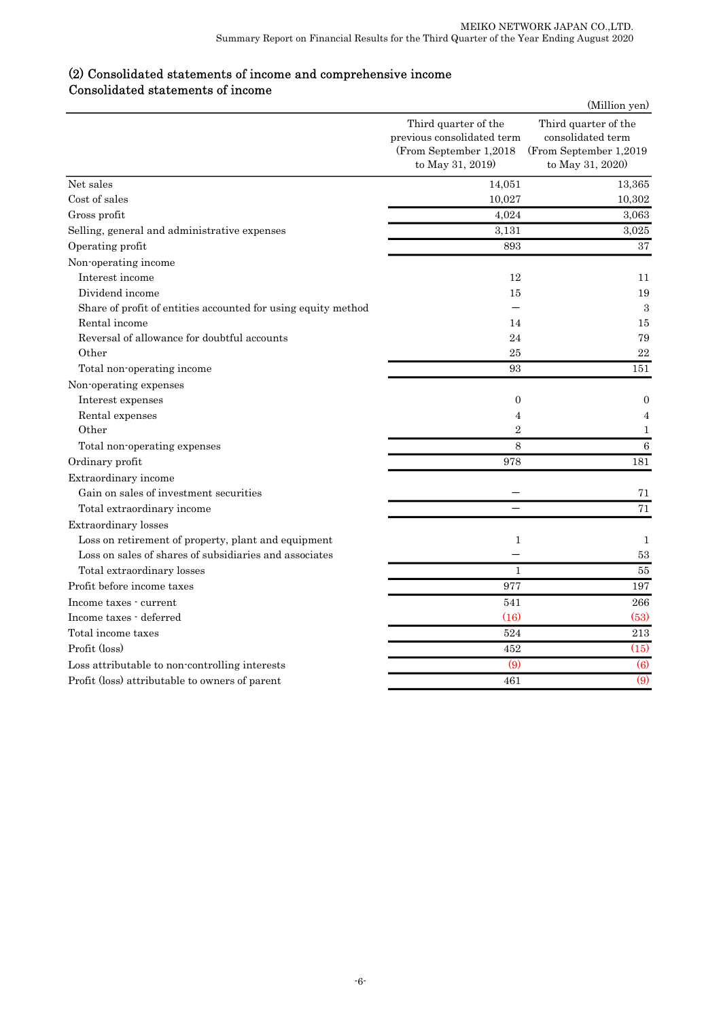## (2) Consolidated statements of income and comprehensive income Consolidated statements of income

|                                                               |                                                                                                  | (Million yen)                                                                            |
|---------------------------------------------------------------|--------------------------------------------------------------------------------------------------|------------------------------------------------------------------------------------------|
|                                                               | Third quarter of the<br>previous consolidated term<br>(From September 1,2018<br>to May 31, 2019) | Third quarter of the<br>consolidated term<br>(From September 1,2019)<br>to May 31, 2020) |
| Net sales                                                     | 14,051                                                                                           | 13,365                                                                                   |
| Cost of sales                                                 | 10,027                                                                                           | 10,302                                                                                   |
| Gross profit                                                  | 4,024                                                                                            | 3,063                                                                                    |
| Selling, general and administrative expenses                  | 3,131                                                                                            | 3,025                                                                                    |
| Operating profit                                              | 893                                                                                              | 37                                                                                       |
| Non-operating income                                          |                                                                                                  |                                                                                          |
| Interest income                                               | 12                                                                                               | 11                                                                                       |
| Dividend income                                               | 15                                                                                               | 19                                                                                       |
| Share of profit of entities accounted for using equity method |                                                                                                  | 3                                                                                        |
| Rental income                                                 | 14                                                                                               | 15                                                                                       |
| Reversal of allowance for doubtful accounts                   | 24                                                                                               | 79                                                                                       |
| Other                                                         | 25                                                                                               | 22                                                                                       |
| Total non-operating income                                    | 93                                                                                               | 151                                                                                      |
| Non-operating expenses                                        |                                                                                                  |                                                                                          |
| Interest expenses                                             | $\overline{0}$                                                                                   | $\overline{0}$                                                                           |
| Rental expenses                                               | $\overline{4}$                                                                                   | 4                                                                                        |
| Other                                                         | $\overline{2}$                                                                                   | 1                                                                                        |
| Total non-operating expenses                                  | 8                                                                                                | $\boldsymbol{6}$                                                                         |
| Ordinary profit                                               | 978                                                                                              | 181                                                                                      |
| Extraordinary income                                          |                                                                                                  |                                                                                          |
| Gain on sales of investment securities                        |                                                                                                  | 71                                                                                       |
| Total extraordinary income                                    |                                                                                                  | 71                                                                                       |
| Extraordinary losses                                          |                                                                                                  |                                                                                          |
| Loss on retirement of property, plant and equipment           | $\mathbf{1}$                                                                                     | $\mathbf{1}$                                                                             |
| Loss on sales of shares of subsidiaries and associates        |                                                                                                  | 53                                                                                       |
| Total extraordinary losses                                    | $\mathbf{1}$                                                                                     | 55                                                                                       |
| Profit before income taxes                                    | 977                                                                                              | 197                                                                                      |
| Income taxes - current                                        | 541                                                                                              | 266                                                                                      |
| Income taxes - deferred                                       | (16)                                                                                             | (53)                                                                                     |
| Total income taxes                                            | 524                                                                                              | $\overline{213}$                                                                         |
| Profit (loss)                                                 | 452                                                                                              | (15)                                                                                     |
| Loss attributable to non-controlling interests                | $\overline{(9)}$                                                                                 | $\overline{(6)}$                                                                         |
| Profit (loss) attributable to owners of parent                | 461                                                                                              | $\overline{(9)}$                                                                         |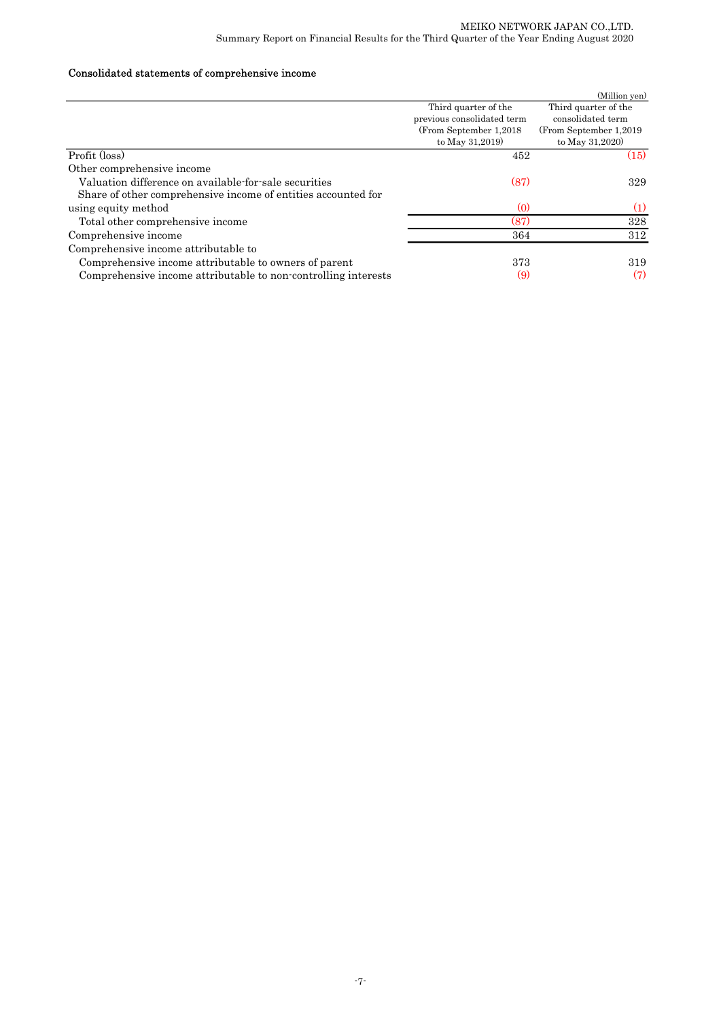### Consolidated statements of comprehensive income

|                                                                |                            | (Million yen)           |
|----------------------------------------------------------------|----------------------------|-------------------------|
|                                                                | Third quarter of the       | Third quarter of the    |
|                                                                | previous consolidated term | consolidated term       |
|                                                                | (From September 1,2018)    | (From September 1,2019) |
|                                                                | to May 31,2019)            | to May 31,2020)         |
| Profit (loss)                                                  | 452                        | (15)                    |
| Other comprehensive income                                     |                            |                         |
| Valuation difference on available for sale securities          | (87)                       | 329                     |
| Share of other comprehensive income of entities accounted for  |                            |                         |
| using equity method                                            | $\left( 0 \right)$         | (1)                     |
| Total other comprehensive income                               | (87)                       | 328                     |
| Comprehensive income                                           | 364                        | 312                     |
| Comprehensive income attributable to                           |                            |                         |
| Comprehensive income attributable to owners of parent          | 373                        | 319                     |
| Comprehensive income attributable to non-controlling interests | (9)                        | (7)                     |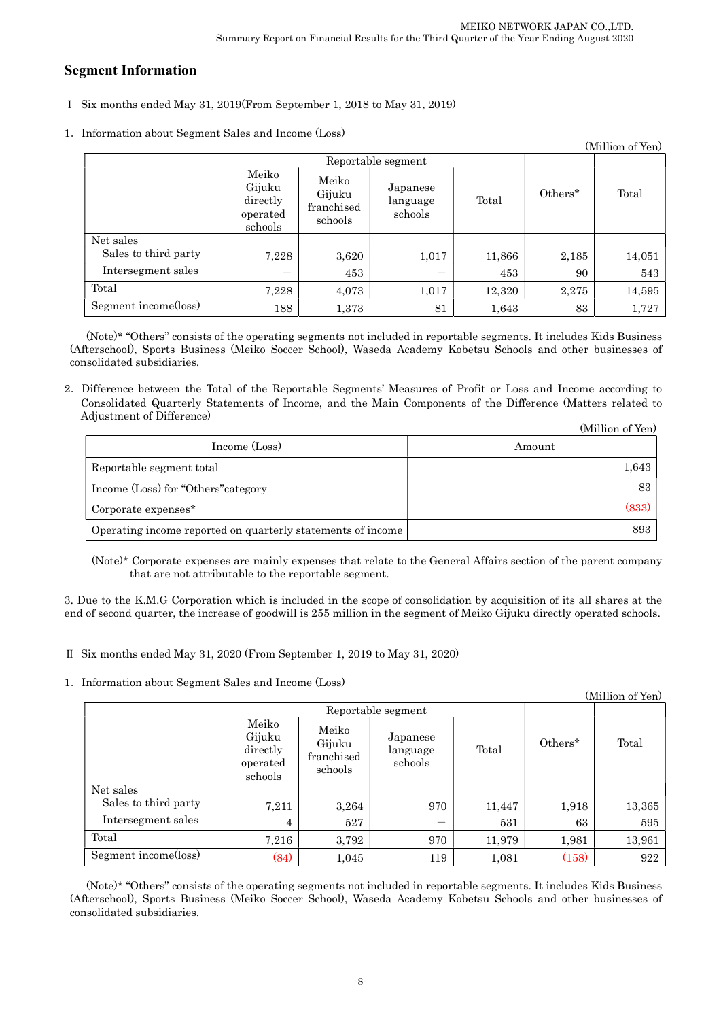# Segment Information

- Ⅰ Six months ended May 31, 2019(From September 1, 2018 to May 31, 2019)
- 1.Information about Segment Sales and Income (Loss)

|                      |                                                    |                                          |                                 |        |         | (Million of Yen) |
|----------------------|----------------------------------------------------|------------------------------------------|---------------------------------|--------|---------|------------------|
|                      | Reportable segment                                 |                                          |                                 |        |         |                  |
|                      | Meiko<br>Gijuku<br>directly<br>operated<br>schools | Meiko<br>Gijuku<br>franchised<br>schools | Japanese<br>language<br>schools | Total  | Others* | Total            |
| Net sales            |                                                    |                                          |                                 |        |         |                  |
| Sales to third party | 7,228                                              | 3,620                                    | 1,017                           | 11,866 | 2,185   | 14,051           |
| Intersegment sales   |                                                    | 453                                      |                                 | 453    | 90      | 543              |
| Total                | 7,228                                              | 4,073                                    | 1,017                           | 12,320 | 2,275   | 14,595           |
| Segment income(loss) | 188                                                | 1,373                                    | 81                              | 1,643  | 83      | 1,727            |

(Note)\* "Others" consists of the operating segments not included in reportable segments. It includes Kids Business (Afterschool), Sports Business (Meiko Soccer School), Waseda Academy Kobetsu Schools and other businesses of consolidated subsidiaries.

2.Difference between the Total of the Reportable Segments' Measures of Profit or Loss and Income according to Consolidated Quarterly Statements of Income, and the Main Components of the Difference (Matters related to Adjustment of Difference)  $(MT)$   $(NT)$ 

|                                                             | (Million of Yen) |
|-------------------------------------------------------------|------------------|
| Income (Loss)                                               | Amount           |
| Reportable segment total                                    | 1,643            |
| Income (Loss) for "Others" category                         | 83               |
| Corporate expenses*                                         | (833)            |
| Operating income reported on quarterly statements of income | 893              |

(Note)\* Corporate expenses are mainly expenses that relate to the General Affairs section of the parent company that are not attributable to the reportable segment.

3. Due to the K.M.G Corporation which is included in the scope of consolidation by acquisition of its all shares at the end of second quarter, the increase of goodwill is 255 million in the segment of Meiko Gijuku directly operated schools.

Ⅱ Six months ended May 31, 2020 (From September 1, 2019 to May 31, 2020)

1.Information about Segment Sales and Income (Loss)

|                      |                                                    |                                          |                                 |        |         | (Million of Yen) |
|----------------------|----------------------------------------------------|------------------------------------------|---------------------------------|--------|---------|------------------|
|                      | Reportable segment                                 |                                          |                                 |        |         |                  |
|                      | Meiko<br>Gijuku<br>directly<br>operated<br>schools | Meiko<br>Gijuku<br>franchised<br>schools | Japanese<br>language<br>schools | Total  | Others* | Total            |
| Net sales            |                                                    |                                          |                                 |        |         |                  |
| Sales to third party | 7,211                                              | 3,264                                    | 970                             | 11,447 | 1,918   | 13,365           |
| Intersegment sales   | 4                                                  | 527                                      |                                 | 531    | 63      | 595              |
| Total                | 7,216                                              | 3,792                                    | 970                             | 11,979 | 1,981   | 13,961           |
| Segment income(loss) | (84)                                               | 1,045                                    | 119                             | 1,081  | (158)   | 922              |

(Note)\* "Others" consists of the operating segments not included in reportable segments. It includes Kids Business (Afterschool), Sports Business (Meiko Soccer School), Waseda Academy Kobetsu Schools and other businesses of consolidated subsidiaries.